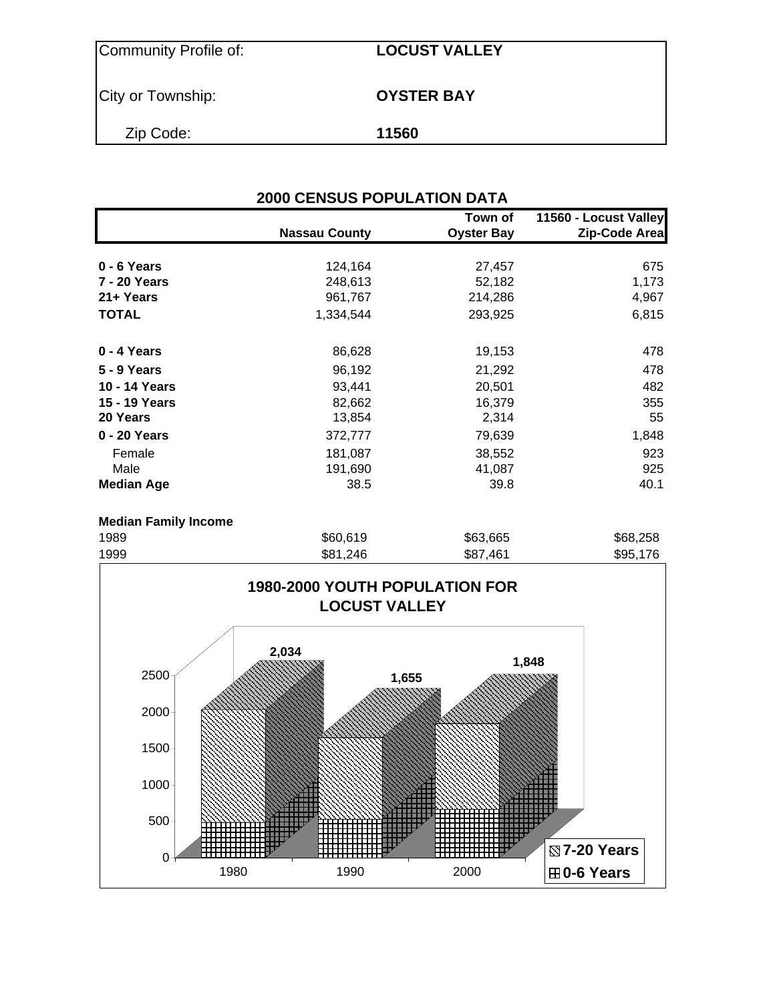| Community Profile of: | <b>LOCUST VALLEY</b> |
|-----------------------|----------------------|
| City or Township:     | <b>OYSTER BAY</b>    |
| Zip Code:             | 11560                |

|                   | <b>2000 CENSUS POPULATION DATA</b> |                              |                                        |
|-------------------|------------------------------------|------------------------------|----------------------------------------|
|                   | <b>Nassau County</b>               | Town of<br><b>Oyster Bay</b> | 11560 - Locust Valley<br>Zip-Code Area |
|                   |                                    |                              |                                        |
| 0 - 6 Years       | 124,164                            | 27,457                       | 675                                    |
| 7 - 20 Years      | 248,613                            | 52,182                       | 1,173                                  |
| 21+ Years         | 961,767                            | 214,286                      | 4,967                                  |
| <b>TOTAL</b>      | 1,334,544                          | 293,925                      | 6,815                                  |
| 0 - 4 Years       | 86,628                             | 19,153                       | 478                                    |
| 5 - 9 Years       | 96,192                             | 21,292                       | 478                                    |
| 10 - 14 Years     | 93,441                             | 20,501                       | 482                                    |
| 15 - 19 Years     | 82,662                             | 16,379                       | 355                                    |
| 20 Years          | 13,854                             | 2,314                        | 55                                     |
| 0 - 20 Years      | 372,777                            | 79,639                       | 1,848                                  |
| Female            | 181,087                            | 38,552                       | 923                                    |
| Male              | 191,690                            | 41,087                       | 925                                    |
| <b>Median Age</b> | 38.5                               | 39.8                         | 40.1                                   |



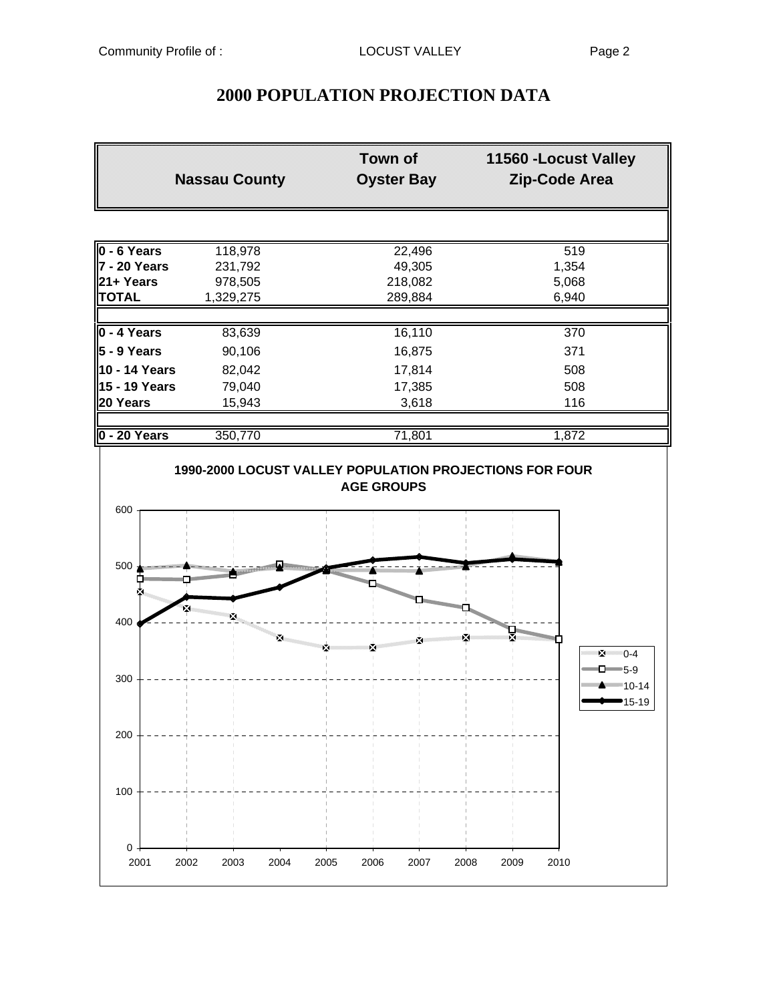# **2000 POPULATION PROJECTION DATA**

|                   | <b>Nassau County</b>                  | <b>Town of</b><br><b>Oyster Bay</b>                                 | 11560 - Locust Valley<br>Zip-Code Area |
|-------------------|---------------------------------------|---------------------------------------------------------------------|----------------------------------------|
|                   |                                       |                                                                     |                                        |
| 0 - 6 Years       | 118,978                               | 22,496                                                              | 519                                    |
| 7 - 20 Years      | 231,792                               | 49,305                                                              | 1,354                                  |
| 21+ Years         | 978,505                               | 218,082                                                             | 5,068                                  |
| <b>TOTAL</b>      | 1,329,275                             | 289,884                                                             | 6,940                                  |
| 0 - 4 Years       | 83,639                                | 16,110                                                              | 370                                    |
| 5 - 9 Years       | 90,106                                | 16,875                                                              | 371                                    |
| 10 - 14 Years     | 82,042                                | 17,814                                                              | 508                                    |
| 15 - 19 Years     | 79,040                                | 17,385                                                              | 508                                    |
| 20 Years          | 15,943                                | 3,618                                                               | 116                                    |
| $0 - 20$ Years    | 350,770                               | 71,801                                                              | 1,872                                  |
| 500               | $\blacktriangle$ and $\blacktriangle$ | <b>INTERNATIONAL PROPERTY</b><br><b>Tanggung Tinggung September</b> |                                        |
| ×<br>400          | ×<br>×                                |                                                                     | Ę<br>$X = 0.4$                         |
| 300               |                                       |                                                                     | $\Box$ 5-9<br>■15-19                   |
| 200               |                                       |                                                                     |                                        |
| 100               |                                       |                                                                     |                                        |
| 0<br>2001<br>2002 | 2003<br>2004                          | 2005<br>2006<br>2007                                                | 2008<br>2009<br>2010                   |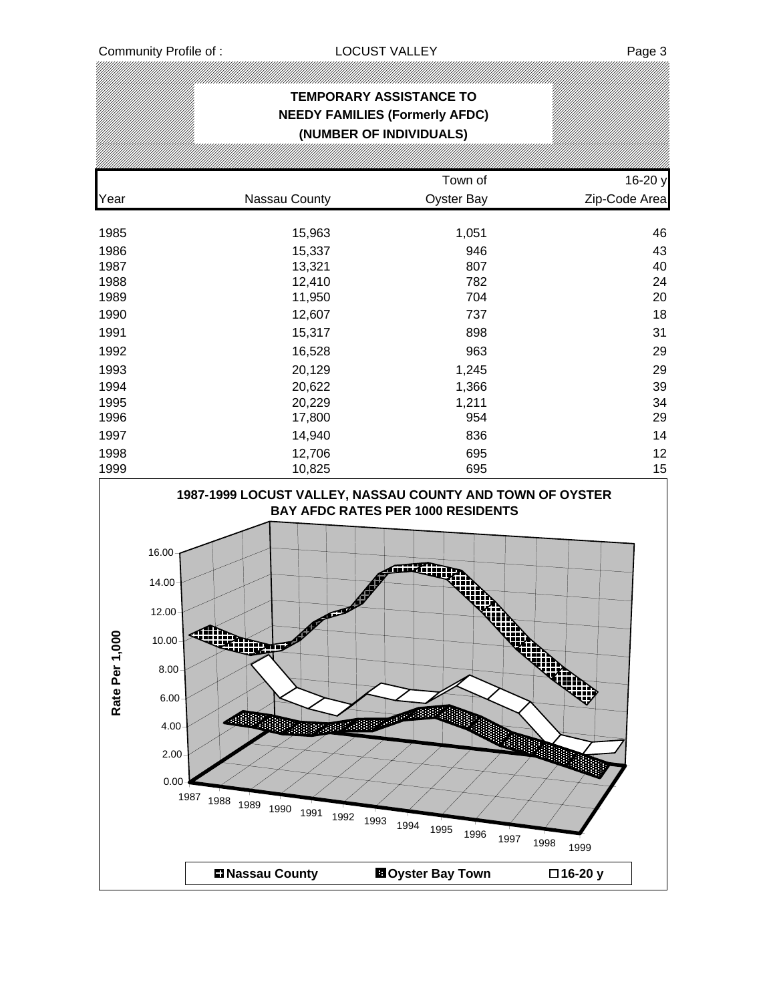## **TEMPORARY ASSISTANCE TO NEEDY FAMILIES (Formerly AFDC) (NUMBER OF INDIVIDUALS)**

| Town of                                    | 16-20 y       |
|--------------------------------------------|---------------|
|                                            |               |
| Year<br>Nassau County<br><b>Oyster Bay</b> | Zip-Code Area |
| 1985<br>15,963<br>1,051                    | 46            |
| 1986<br>15,337<br>946                      | 43            |
| 1987<br>13,321<br>807                      | 40            |
| 1988<br>12,410<br>782                      | 24            |
| 704<br>1989<br>11,950                      | 20            |
| 1990<br>12,607<br>737                      | 18            |
| 1991<br>15,317<br>898                      | 31            |
| 1992<br>16,528<br>963                      | 29            |
| 1993<br>20,129<br>1,245                    | 29            |
| 1994<br>1,366<br>20,622                    | 39            |
| 1995<br>20,229<br>1,211                    | 34            |
| 1996<br>954<br>17,800                      | 29            |
| 1997<br>14,940<br>836                      | 14            |
| 695<br>1998<br>12,706                      | 12            |
| 1999<br>10,825<br>695                      | 15            |

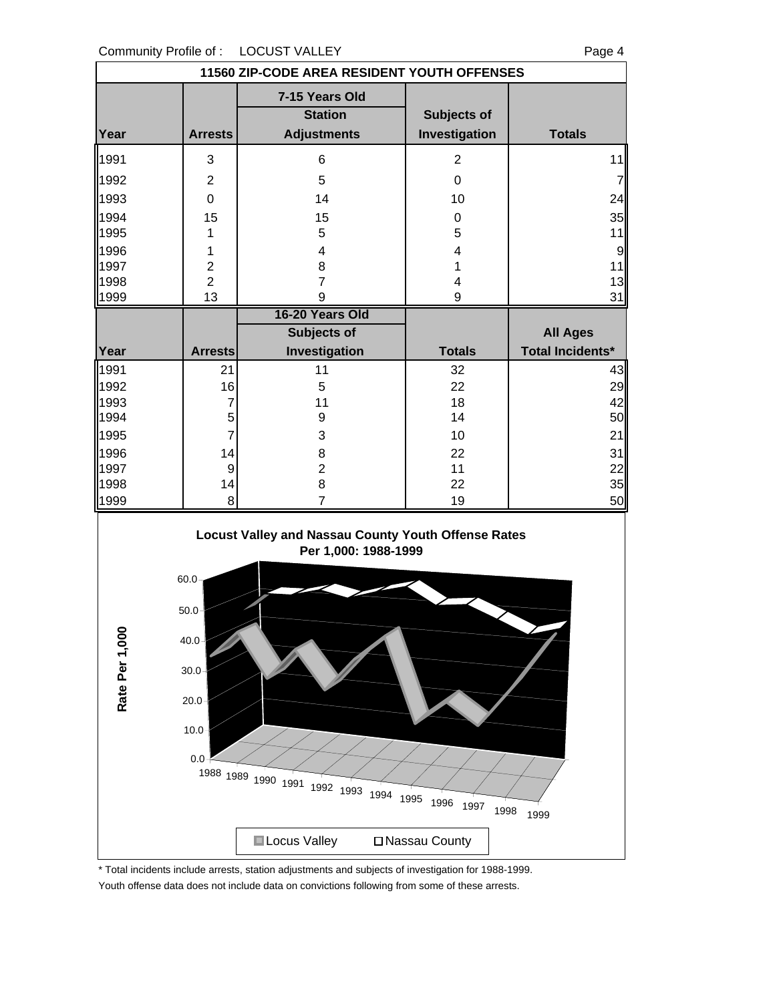Community Profile of : LOCUST VALLEY **Example 2018** Page 4

|      |                | 11560 ZIP-CODE AREA RESIDENT YOUTH OFFENSES            |                              |                         |
|------|----------------|--------------------------------------------------------|------------------------------|-------------------------|
| Year | <b>Arrests</b> | 7-15 Years Old<br><b>Station</b><br><b>Adjustments</b> | Subjects of<br>Investigation | <b>Totals</b>           |
| 1991 | 3              | 6                                                      | $\overline{2}$               | 11                      |
| 1992 | $\overline{2}$ | 5                                                      | 0                            | 7                       |
| 1993 | 0              | 14                                                     | 10                           | 24                      |
| 1994 | 15             | 15                                                     | 0                            | 35                      |
| 1995 | 1              | 5                                                      | 5                            | 11                      |
| 1996 | 1              | 4                                                      | 4                            | 9                       |
| 1997 | $\overline{c}$ | 8                                                      |                              | 11                      |
| 1998 | $\overline{2}$ | 7                                                      | 4                            | 13                      |
| 1999 | 13             | 9                                                      | 9                            | 31                      |
|      |                | 16-20 Years Old                                        |                              |                         |
|      |                | Subjects of                                            |                              | <b>All Ages</b>         |
| Year | <b>Arrests</b> | Investigation                                          | <b>Totals</b>                | <b>Total Incidents*</b> |
| 1991 | 21             | 11                                                     | 32                           | 43                      |
| 1992 | 16             | 5                                                      | 22                           | 29                      |
| 1993 | 7              | 11                                                     | 18                           | 42                      |
| 1994 | 5              | 9                                                      | 14                           | 50                      |
| 1995 | $\overline{7}$ | 3                                                      | 10                           | 21                      |
| 1996 | 14             | 8                                                      | 22                           | 31                      |
| 1997 | 9              | $\overline{2}$                                         | 11                           | 22                      |
| 1998 | 14             | 8                                                      | 22                           | 35                      |
| 1999 | 8 <sup>1</sup> | 7                                                      | 19                           | 50                      |



\* Total incidents include arrests, station adjustments and subjects of investigation for 1988-1999. Youth offense data does not include data on convictions following from some of these arrests.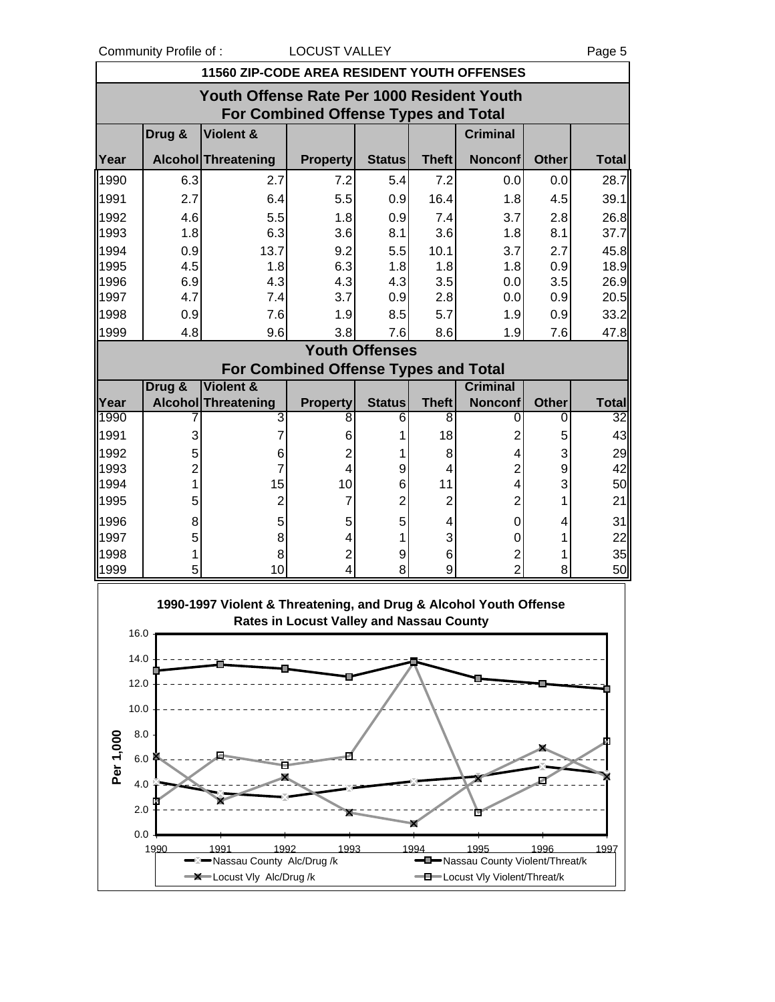Community Profile of : COCUST VALLEY **Example 2** Page 5

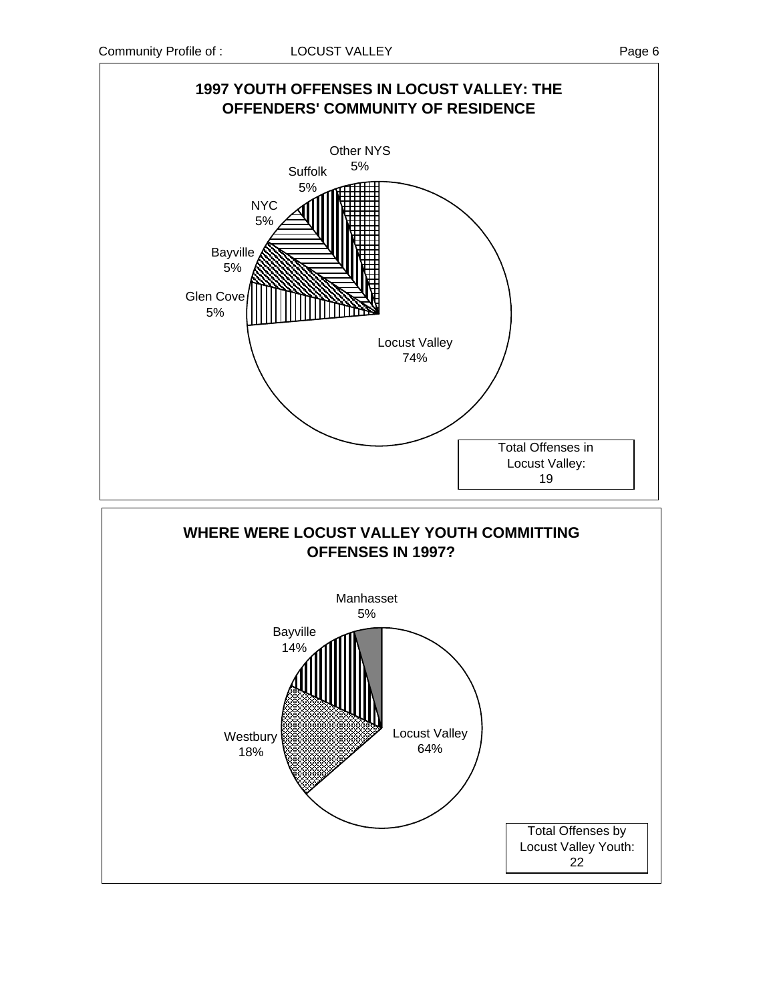

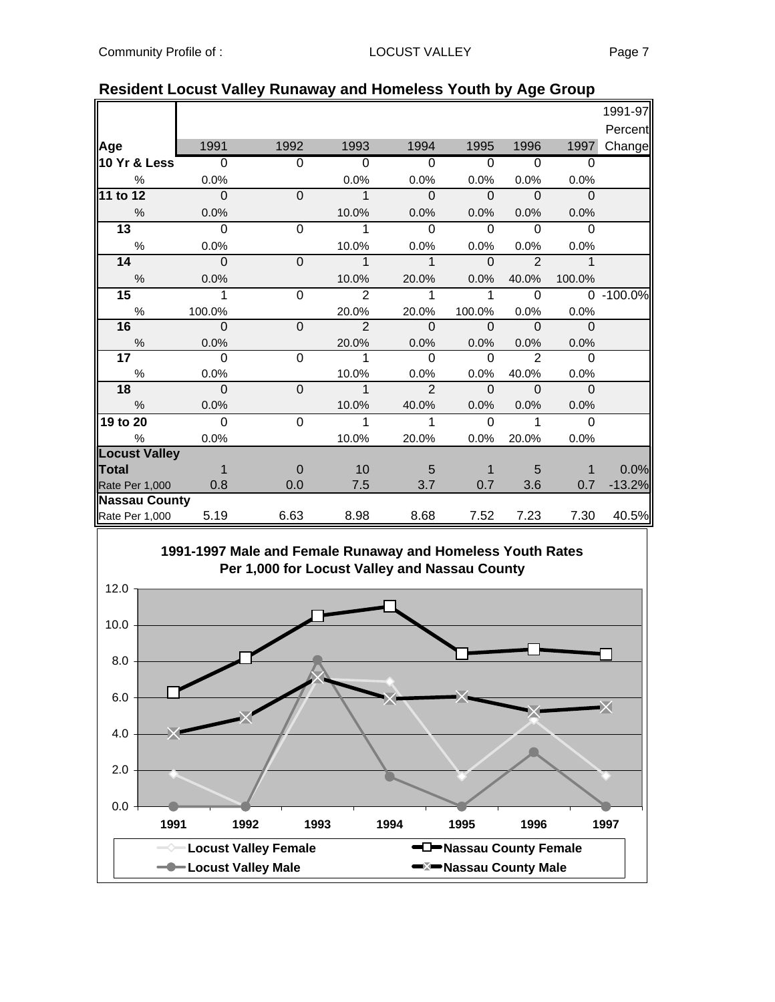|                      |                |                |                |                |          |                |                | 1991-97   |
|----------------------|----------------|----------------|----------------|----------------|----------|----------------|----------------|-----------|
|                      |                |                |                |                |          |                |                | Percent   |
| Age                  | 1991           | 1992           | 1993           | 1994           | 1995     | 1996           | 1997           | Change    |
| 10 Yr & Less         | $\overline{0}$ | 0              | 0              | $\overline{0}$ | $\Omega$ | $\Omega$       | 0              |           |
| $\%$                 | 0.0%           |                | 0.0%           | 0.0%           | 0.0%     | 0.0%           | 0.0%           |           |
| 11 to 12             | $\Omega$       | $\mathbf{0}$   | $\mathbf{1}$   | $\Omega$       | $\Omega$ | $\Omega$       | $\Omega$       |           |
| $\frac{0}{0}$        | 0.0%           |                | 10.0%          | 0.0%           | 0.0%     | 0.0%           | 0.0%           |           |
| $\overline{13}$      | 0              | $\overline{0}$ | 1              | $\Omega$       | $\Omega$ | $\Omega$       | $\overline{0}$ |           |
| $\%$                 | 0.0%           |                | 10.0%          | 0.0%           | 0.0%     | 0.0%           | 0.0%           |           |
| 14                   | $\mathbf 0$    | $\mathbf 0$    | $\mathbf{1}$   | $\mathbf{1}$   | $\Omega$ | $\overline{2}$ | $\mathbf 1$    |           |
| $\frac{0}{0}$        | 0.0%           |                | 10.0%          | 20.0%          | 0.0%     | 40.0%          | 100.0%         |           |
| 15                   | 1              | 0              | $\overline{2}$ | 1              | 1        | $\Omega$       | $\Omega$       | $-100.0%$ |
| $\%$                 | 100.0%         |                | 20.0%          | 20.0%          | 100.0%   | 0.0%           | 0.0%           |           |
| 16                   | $\Omega$       | $\mathbf{0}$   | $\overline{2}$ | $\Omega$       | $\Omega$ | $\Omega$       | $\Omega$       |           |
| $\%$                 | 0.0%           |                | 20.0%          | 0.0%           | 0.0%     | 0.0%           | 0.0%           |           |
| 17                   | $\Omega$       | $\mathbf 0$    | 1              | $\Omega$       | $\Omega$ | $\mathcal{P}$  | $\Omega$       |           |
| $\%$                 | 0.0%           |                | 10.0%          | 0.0%           | 0.0%     | 40.0%          | 0.0%           |           |
| 18                   | $\mathbf{0}$   | $\mathbf{0}$   | $\mathbf{1}$   | $\overline{2}$ | $\Omega$ | $\Omega$       | $\Omega$       |           |
| $\frac{0}{0}$        | 0.0%           |                | 10.0%          | 40.0%          | 0.0%     | 0.0%           | 0.0%           |           |
| 19 to 20             | $\Omega$       | 0              | 1              |                | $\Omega$ |                | $\Omega$       |           |
| $\%$                 | 0.0%           |                | 10.0%          | 20.0%          | 0.0%     | 20.0%          | 0.0%           |           |
| <b>Locust Valley</b> |                |                |                |                |          |                |                |           |
| Total                | 1              | $\overline{0}$ | 10             | 5              |          | 5              | 1              | 0.0%      |
| Rate Per 1,000       | 0.8            | 0.0            | 7.5            | 3.7            | 0.7      | 3.6            | 0.7            | $-13.2%$  |
| <b>Nassau County</b> |                |                |                |                |          |                |                |           |
| Rate Per 1,000       | 5.19           | 6.63           | 8.98           | 8.68           | 7.52     | 7.23           | 7.30           | 40.5%     |

### **Resident Locust Valley Runaway and Homeless Youth by Age Group**

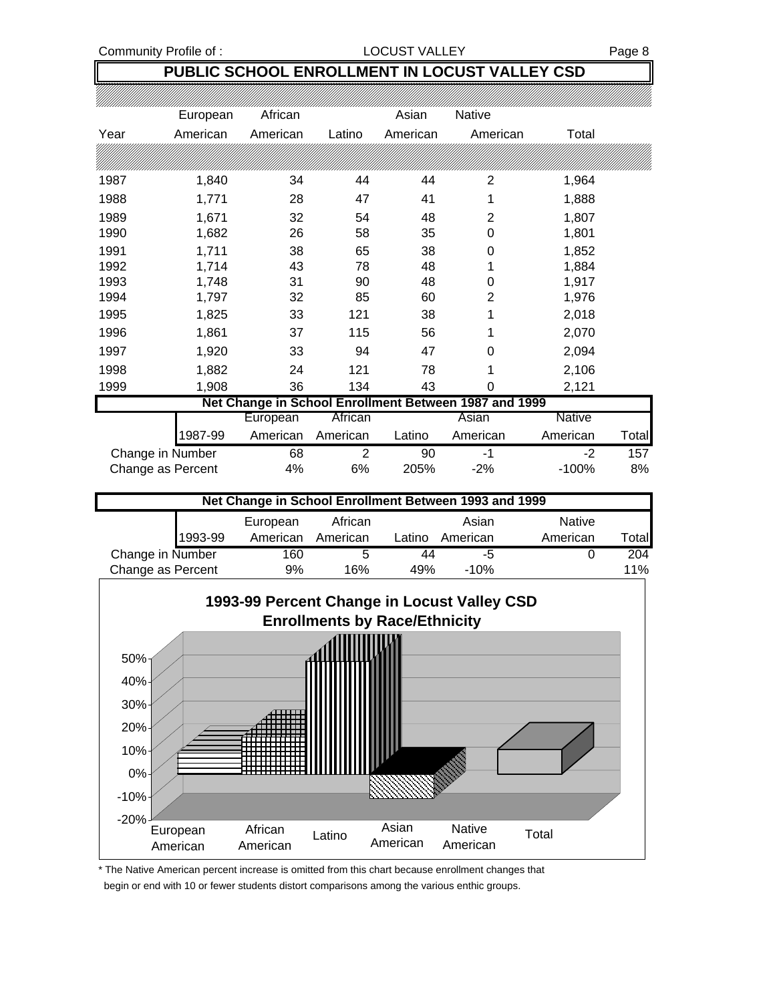## **PUBLIC SCHOOL ENROLLMENT IN LOCUST VALLEY CSD**

|                   | European | African  |                | Asian    | Native                                                |          |       |
|-------------------|----------|----------|----------------|----------|-------------------------------------------------------|----------|-------|
| Year              | American | American | Latino         | American | American                                              | Total    |       |
|                   |          |          |                |          |                                                       |          |       |
| 1987              | 1,840    | 34       | 44             | 44       | 2                                                     | 1,964    |       |
| 1988              | 1,771    | 28       | 47             | 41       | 1                                                     | 1,888    |       |
| 1989              | 1,671    | 32       | 54             | 48       | 2                                                     | 1,807    |       |
| 1990              | 1,682    | 26       | 58             | 35       | $\Omega$                                              | 1,801    |       |
| 1991              | 1,711    | 38       | 65             | 38       | 0                                                     | 1,852    |       |
| 1992              | 1,714    | 43       | 78             | 48       | 1                                                     | 1,884    |       |
| 1993              | 1,748    | 31       | 90             | 48       | 0                                                     | 1,917    |       |
| 1994              | 1,797    | 32       | 85             | 60       | 2                                                     | 1,976    |       |
| 1995              | 1,825    | 33       | 121            | 38       | 1                                                     | 2,018    |       |
| 1996              | 1,861    | 37       | 115            | 56       | 1                                                     | 2,070    |       |
| 1997              | 1,920    | 33       | 94             | 47       | 0                                                     | 2,094    |       |
| 1998              | 1,882    | 24       | 121            | 78       | 1                                                     | 2,106    |       |
| 1999              | 1,908    | 36       | 134            | 43       | $\Omega$                                              | 2,121    |       |
|                   |          |          |                |          | Net Change in School Enrollment Between 1987 and 1999 |          |       |
|                   |          | European | African        |          | Asian                                                 | Native   |       |
|                   | 1987-99  | American | American       | Latino   | American                                              | American | Total |
| Change in Number  |          | 68       | $\overline{2}$ | 90       | -1                                                    | $-2$     | 157   |
| Change as Percent |          | 4%       | 6%             | 205%     | $-2%$                                                 | $-100%$  | 8%    |
|                   |          |          |                |          | Net Change in School Enrollment Between 1993 and 1999 |          |       |
|                   |          |          |                |          |                                                       |          |       |

|                   |         | <u>NEL CHANGE IN SCHOOL ENFORMENTE DELWEEN 1993 AND 1999</u> |          |        |          |          |                |
|-------------------|---------|--------------------------------------------------------------|----------|--------|----------|----------|----------------|
|                   |         | European                                                     | African  |        | Asian    | Native   |                |
|                   | 1993-99 | American                                                     | American | Latino | American | American | Total <b>l</b> |
| Change in Number  |         | 160                                                          | ∽        | 44     | -5       |          | 204            |
| Change as Percent |         | 9%                                                           | 16%      | 49%    | $-10%$   |          | 11%            |



\* The Native American percent increase is omitted from this chart because enrollment changes that begin or end with 10 or fewer students distort comparisons among the various enthic groups.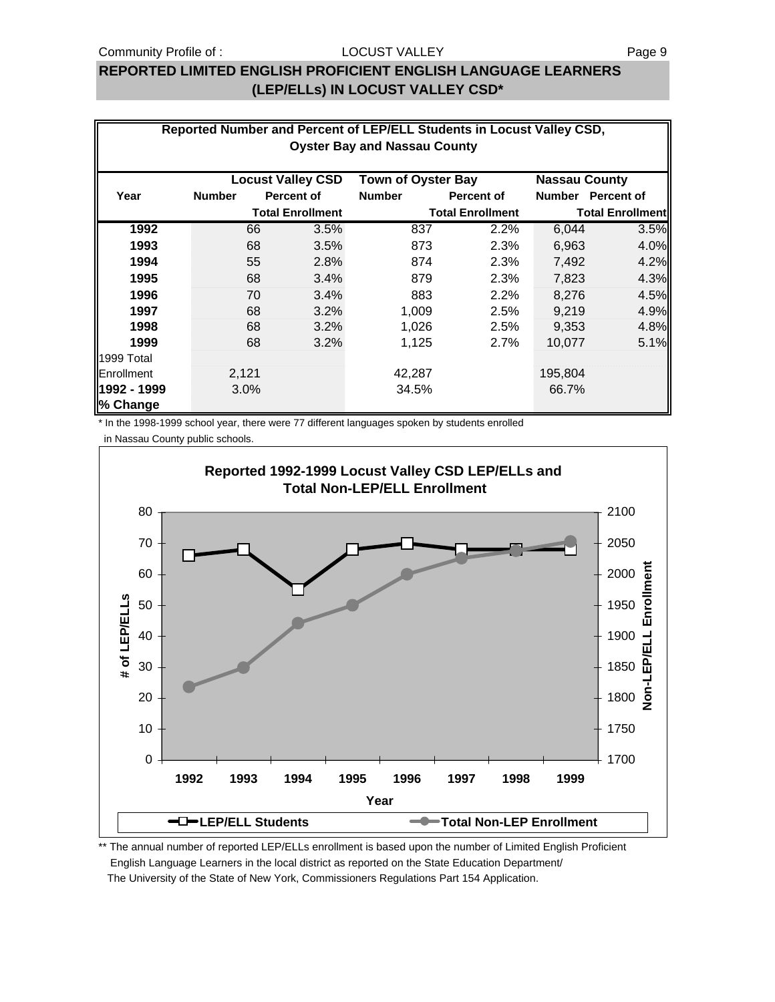### Community Profile of : COCUST VALLEY

### LOCUST VALLEY

### **REPORTED LIMITED ENGLISH PROFICIENT ENGLISH LANGUAGE LEARNERS (LEP/ELLs) IN LOCUST VALLEY CSD\***

|             |               |       |                          | <b>Oyster Bay and Nassau County</b> | Reported Number and Percent of LEP/ELL Students in Locust Valley CSD, |                      |                         |
|-------------|---------------|-------|--------------------------|-------------------------------------|-----------------------------------------------------------------------|----------------------|-------------------------|
|             |               |       |                          |                                     |                                                                       |                      |                         |
|             |               |       | <b>Locust Valley CSD</b> | <b>Town of Oyster Bay</b>           |                                                                       | <b>Nassau County</b> |                         |
| Year        | <b>Number</b> |       | <b>Percent of</b>        | <b>Number</b>                       | Percent of                                                            |                      | Number Percent of       |
|             |               |       | <b>Total Enrollment</b>  |                                     | <b>Total Enrollment</b>                                               |                      | <b>Total Enrollment</b> |
| 1992        |               | 66    | 3.5%                     | 837                                 | 2.2%                                                                  | 6,044                | 3.5%                    |
| 1993        |               | 68    | 3.5%                     | 873                                 | 2.3%                                                                  | 6,963                | 4.0%                    |
| 1994        |               | 55    | 2.8%                     | 874                                 | 2.3%                                                                  | 7,492                | 4.2%                    |
| 1995        |               | 68    | 3.4%                     | 879                                 | 2.3%                                                                  | 7,823                | 4.3%                    |
| 1996        |               | 70    | 3.4%                     | 883                                 | 2.2%                                                                  | 8,276                | 4.5%                    |
| 1997        |               | 68    | 3.2%                     | 1,009                               | 2.5%                                                                  | 9,219                | 4.9%                    |
| 1998        |               | 68    | 3.2%                     | 1,026                               | 2.5%                                                                  | 9,353                | 4.8%                    |
| 1999        |               | 68    | 3.2%                     | 1,125                               | 2.7%                                                                  | 10,077               | 5.1%                    |
| 1999 Total  |               |       |                          |                                     |                                                                       |                      |                         |
| Enrollment  |               | 2,121 |                          | 42,287                              |                                                                       | 195,804              |                         |
| 1992 - 1999 |               | 3.0%  |                          | 34.5%                               |                                                                       | 66.7%                |                         |
| ∥% Change   |               |       |                          |                                     |                                                                       |                      |                         |

\* In the 1998-1999 school year, there were 77 different languages spoken by students enrolled

in Nassau County public schools.



\*\* The annual number of reported LEP/ELLs enrollment is based upon the number of Limited English Proficient English Language Learners in the local district as reported on the State Education Department/ The University of the State of New York, Commissioners Regulations Part 154 Application.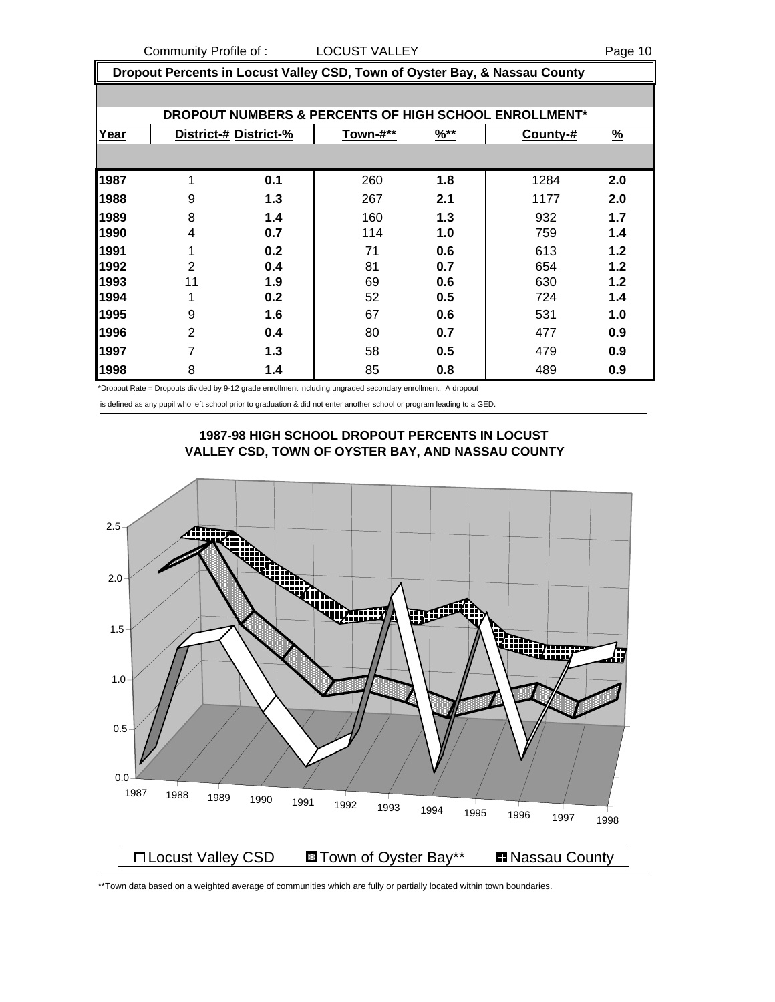Community Profile of : LOCUST VALLEY **Example 20 For a Page 10** 

 **Dropout Percents in Locust Valley CSD, Town of Oyster Bay, & Nassau County**

|      |                |                       |          |                  | DROPOUT NUMBERS & PERCENTS OF HIGH SCHOOL ENROLLMENT* |               |
|------|----------------|-----------------------|----------|------------------|-------------------------------------------------------|---------------|
| Year |                | District-# District-% | Town-#** | $\frac{9}{6}$ ** | County-#                                              | $\frac{9}{6}$ |
|      |                |                       |          |                  |                                                       |               |
| 1987 | 1              | 0.1                   | 260      | 1.8              | 1284                                                  | 2.0           |
| 1988 | 9              | 1.3                   | 267      | 2.1              | 1177                                                  | 2.0           |
| 1989 | 8              | 1.4                   | 160      | 1.3              | 932                                                   | 1.7           |
| 1990 | 4              | 0.7                   | 114      | 1.0              | 759                                                   | 1.4           |
| 1991 |                | 0.2                   | 71       | 0.6              | 613                                                   | 1.2           |
| 1992 | $\overline{2}$ | 0.4                   | 81       | 0.7              | 654                                                   | 1.2           |
| 1993 | 11             | 1.9                   | 69       | 0.6              | 630                                                   | 1.2           |
| 1994 |                | 0.2                   | 52       | 0.5              | 724                                                   | 1.4           |
| 1995 | 9              | 1.6                   | 67       | 0.6              | 531                                                   | 1.0           |
| 1996 | $\overline{2}$ | 0.4                   | 80       | 0.7              | 477                                                   | 0.9           |
| 1997 | 7              | 1.3                   | 58       | 0.5              | 479                                                   | 0.9           |
| 1998 | 8              | 1.4                   | 85       | 0.8              | 489                                                   | 0.9           |

\*Dropout Rate = Dropouts divided by 9-12 grade enrollment including ungraded secondary enrollment. A dropout

is defined as any pupil who left school prior to graduation & did not enter another school or program leading to a GED.



\*\*Town data based on a weighted average of communities which are fully or partially located within town boundaries.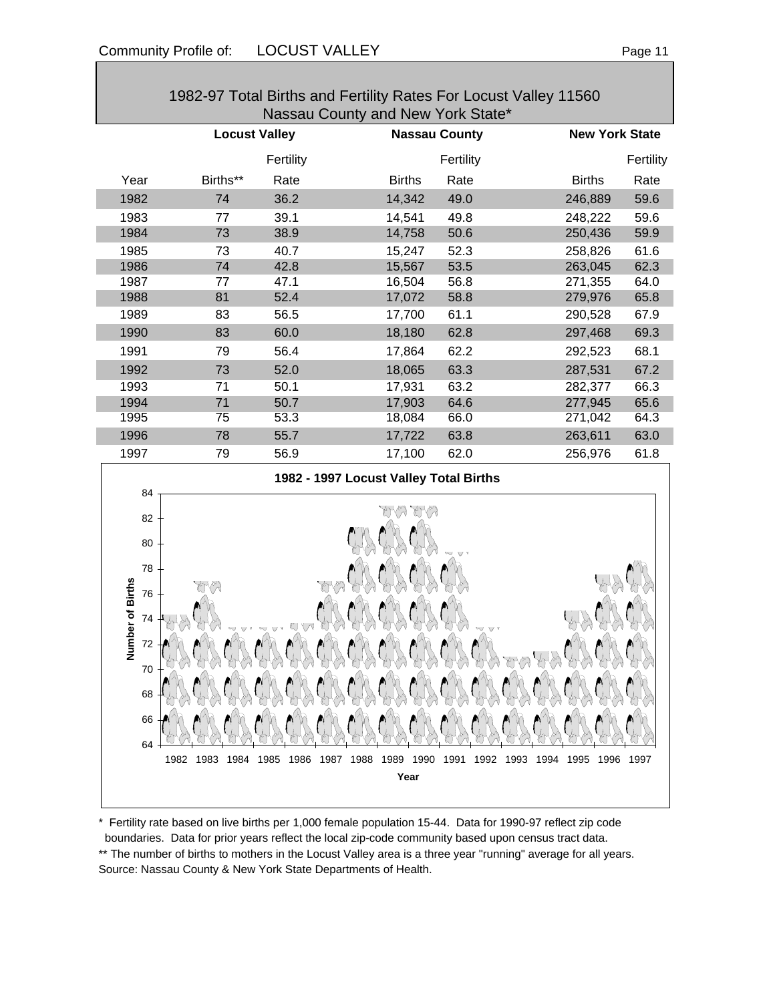|                                   |                      |                      | 1982-97 Total Births and Fertility Rates For Locust Valley 11560<br>Nassau County and New York State* |                      |                              |           |
|-----------------------------------|----------------------|----------------------|-------------------------------------------------------------------------------------------------------|----------------------|------------------------------|-----------|
|                                   |                      | <b>Locust Valley</b> |                                                                                                       | <b>Nassau County</b> | <b>New York State</b>        |           |
|                                   |                      | Fertility            |                                                                                                       | Fertility            |                              | Fertility |
| Year                              | Births**             | Rate                 | <b>Births</b>                                                                                         | Rate                 | <b>Births</b>                | Rate      |
| 1982                              | 74                   | 36.2                 | 14,342                                                                                                | 49.0                 | 246,889                      | 59.6      |
| 1983                              | 77                   | 39.1                 | 14,541                                                                                                | 49.8                 | 248,222                      | 59.6      |
| 1984                              | 73                   | 38.9                 | 14,758                                                                                                | 50.6                 | 250,436                      | 59.9      |
| 1985                              | 73                   | 40.7                 | 15,247                                                                                                | 52.3                 | 258,826                      | 61.6      |
| 1986                              | 74                   | 42.8                 | 15,567                                                                                                | 53.5                 | 263,045                      | 62.3      |
| 1987                              | 77                   | 47.1                 | 16,504                                                                                                | 56.8                 | 271,355                      | 64.0      |
| 1988                              | 81                   | 52.4                 | 17,072                                                                                                | 58.8                 | 279,976                      | 65.8      |
| 1989                              | 83                   | 56.5                 | 17,700                                                                                                | 61.1                 | 290,528                      | 67.9      |
| 1990                              | 83                   | 60.0                 | 18,180                                                                                                | 62.8                 | 297,468                      | 69.3      |
| 1991                              | 79                   | 56.4                 | 17,864                                                                                                | 62.2                 | 292,523                      | 68.1      |
| 1992                              | 73                   | 52.0                 | 18,065                                                                                                | 63.3                 | 287,531                      | 67.2      |
| 1993                              | 71                   | 50.1                 | 17,931                                                                                                | 63.2                 | 282,377                      | 66.3      |
| 1994                              | 71                   | 50.7                 | 17,903                                                                                                | 64.6                 | 277,945                      | 65.6      |
| 1995                              | 75                   | 53.3                 | 18,084                                                                                                | 66.0                 | 271,042                      | 64.3      |
| 1996                              | 78                   | 55.7                 | 17,722                                                                                                | 63.8                 | 263,611                      | 63.0      |
| 1997                              | 79                   | 56.9                 | 17,100                                                                                                | 62.0                 | 256,976                      | 61.8      |
| 84<br>82                          |                      |                      | 1982 - 1997 Locust Valley Total Births                                                                |                      |                              |           |
| 80<br>78<br>umber of Births<br>76 |                      |                      |                                                                                                       |                      |                              |           |
| 74<br>72                          |                      |                      |                                                                                                       |                      |                              |           |
| z<br>70                           |                      |                      |                                                                                                       |                      |                              |           |
| 68                                |                      |                      |                                                                                                       |                      |                              |           |
| 66<br>64                          |                      |                      |                                                                                                       |                      |                              |           |
|                                   | 1983<br>1982<br>1984 | 1985<br>1986         | 1988<br>1987<br>1989<br>1990                                                                          | 1991<br>1992         | 1996<br>1993<br>1994<br>1995 | 1997      |
|                                   |                      |                      | Year                                                                                                  |                      |                              |           |
|                                   |                      |                      |                                                                                                       |                      |                              |           |

\* Fertility rate based on live births per 1,000 female population 15-44. Data for 1990-97 reflect zip code boundaries. Data for prior years reflect the local zip-code community based upon census tract data. \*\* The number of births to mothers in the Locust Valley area is a three year "running" average for all years. Source: Nassau County & New York State Departments of Health.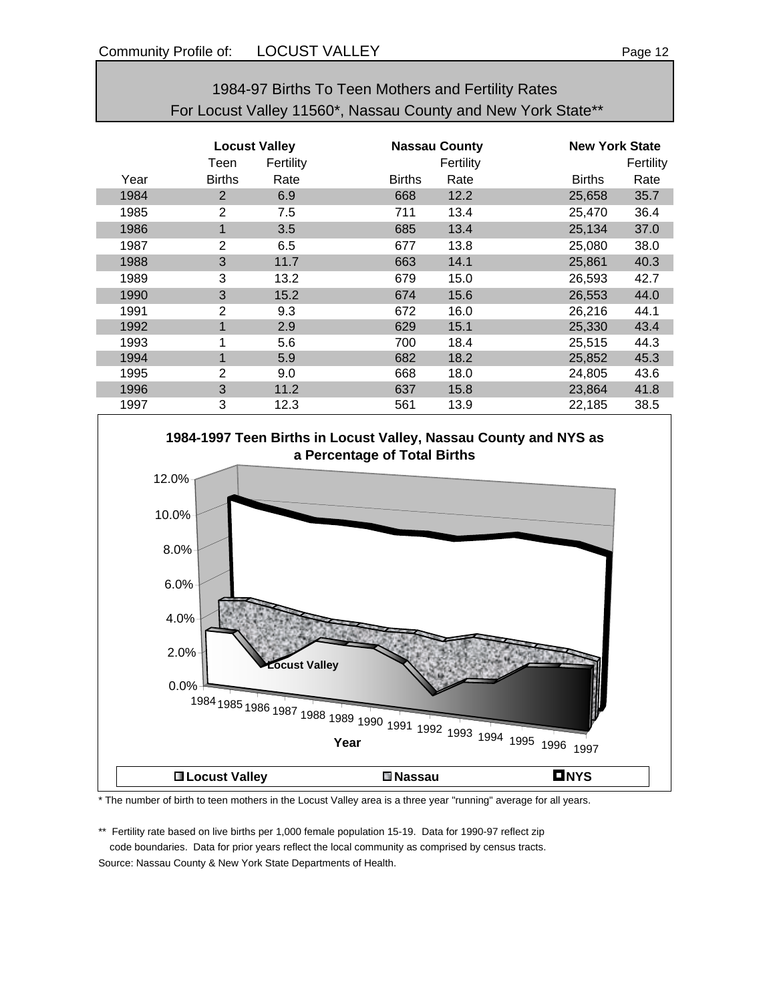| 1984-97 Births To Teen Mothers and Fertility Rates           |
|--------------------------------------------------------------|
| For Locust Valley 11560*, Nassau County and New York State** |

|      | <b>Locust Valley</b><br>Fertility<br>Teen |      |               | <b>Nassau County</b><br>Fertility |               | <b>New York State</b><br>Fertility |  |
|------|-------------------------------------------|------|---------------|-----------------------------------|---------------|------------------------------------|--|
| Year | <b>Births</b>                             | Rate | <b>Births</b> | Rate                              | <b>Births</b> | Rate                               |  |
| 1984 | $\overline{2}$                            | 6.9  | 668           | 12.2                              | 25,658        | 35.7                               |  |
| 1985 | $\overline{2}$                            | 7.5  | 711           | 13.4                              | 25,470        | 36.4                               |  |
| 1986 | $\mathbf{1}$                              | 3.5  | 685           | 13.4                              | 25,134        | 37.0                               |  |
| 1987 | $\overline{2}$                            | 6.5  | 677           | 13.8                              | 25,080        | 38.0                               |  |
| 1988 | 3                                         | 11.7 | 663           | 14.1                              | 25,861        | 40.3                               |  |
| 1989 | 3                                         | 13.2 | 679           | 15.0                              | 26,593        | 42.7                               |  |
| 1990 | 3                                         | 15.2 | 674           | 15.6                              | 26,553        | 44.0                               |  |
| 1991 | $\overline{2}$                            | 9.3  | 672           | 16.0                              | 26,216        | 44.1                               |  |
| 1992 | 1                                         | 2.9  | 629           | 15.1                              | 25,330        | 43.4                               |  |
| 1993 | 1                                         | 5.6  | 700           | 18.4                              | 25,515        | 44.3                               |  |
| 1994 | 1                                         | 5.9  | 682           | 18.2                              | 25,852        | 45.3                               |  |
| 1995 | 2                                         | 9.0  | 668           | 18.0                              | 24,805        | 43.6                               |  |
| 1996 | 3                                         | 11.2 | 637           | 15.8                              | 23,864        | 41.8                               |  |
| 1997 | 3                                         | 12.3 | 561           | 13.9                              | 22,185        | 38.5                               |  |



\* The number of birth to teen mothers in the Locust Valley area is a three year "running" average for all years.

\*\* Fertility rate based on live births per 1,000 female population 15-19. Data for 1990-97 reflect zip code boundaries. Data for prior years reflect the local community as comprised by census tracts. Source: Nassau County & New York State Departments of Health.